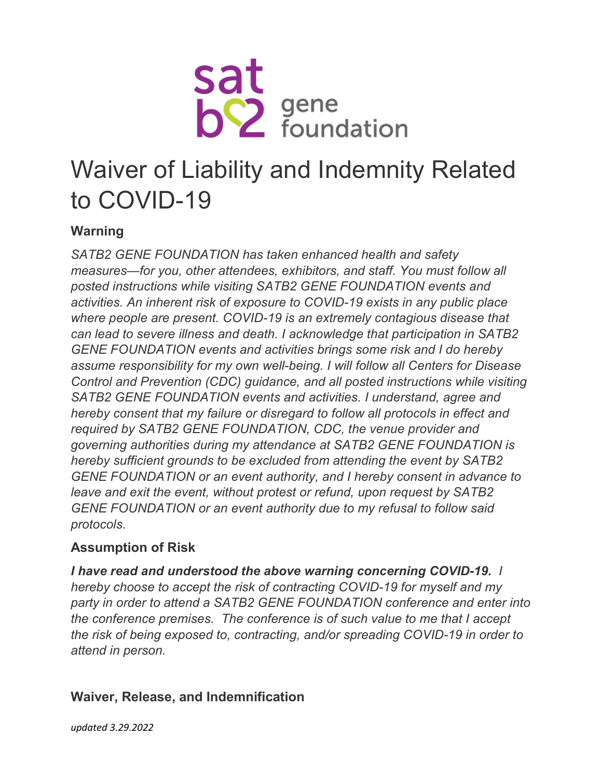

# Waiver of Liability and Indemnity Related to COVID-19

## **Warning**

*SATB2 GENE FOUNDATION has taken enhanced health and safety measures—for you, other attendees, exhibitors, and staff. You must follow all posted instructions while visiting SATB2 GENE FOUNDATION events and activities. An inherent risk of exposure to COVID-19 exists in any public place where people are present. COVID-19 is an extremely contagious disease that can lead to severe illness and death. I acknowledge that participation in SATB2 GENE FOUNDATION events and activities brings some risk and I do hereby assume responsibility for my own well-being. I will follow all Centers for Disease Control and Prevention (CDC) guidance, and all posted instructions while visiting SATB2 GENE FOUNDATION events and activities. I understand, agree and hereby consent that my failure or disregard to follow all protocols in effect and required by SATB2 GENE FOUNDATION, CDC, the venue provider and governing authorities during my attendance at SATB2 GENE FOUNDATION is hereby sufficient grounds to be excluded from attending the event by SATB2 GENE FOUNDATION or an event authority, and I hereby consent in advance to leave and exit the event, without protest or refund, upon request by SATB2 GENE FOUNDATION or an event authority due to my refusal to follow said protocols.*

### **Assumption of Risk**

*I have read and understood the above warning concerning COVID-19. I hereby choose to accept the risk of contracting COVID-19 for myself and my party in order to attend a SATB2 GENE FOUNDATION conference and enter into the conference premises. The conference is of such value to me that I accept the risk of being exposed to, contracting, and/or spreading COVID-19 in order to attend in person.*

### **Waiver, Release, and Indemnification**

*updated 3.29.2022*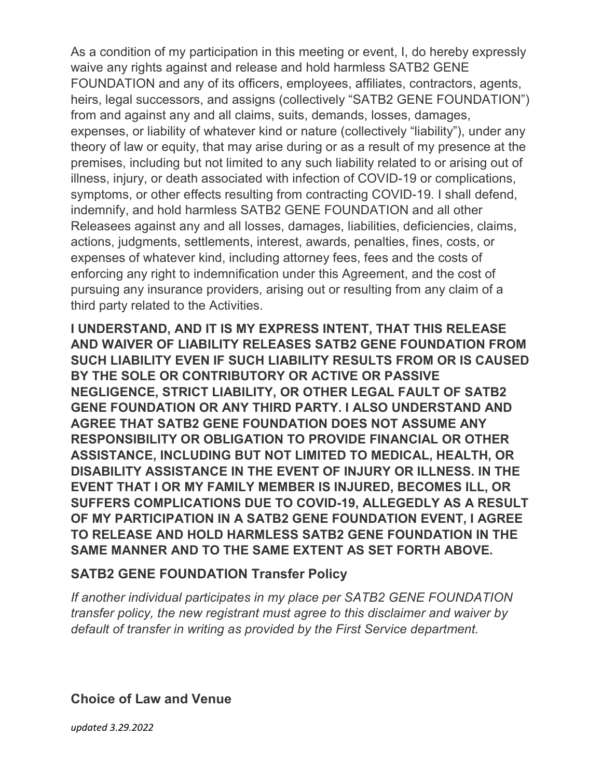As a condition of my participation in this meeting or event, I, do hereby expressly waive any rights against and release and hold harmless SATB2 GENE FOUNDATION and any of its officers, employees, affiliates, contractors, agents, heirs, legal successors, and assigns (collectively "SATB2 GENE FOUNDATION") from and against any and all claims, suits, demands, losses, damages, expenses, or liability of whatever kind or nature (collectively "liability"), under any theory of law or equity, that may arise during or as a result of my presence at the premises, including but not limited to any such liability related to or arising out of illness, injury, or death associated with infection of COVID-19 or complications, symptoms, or other effects resulting from contracting COVID-19. I shall defend, indemnify, and hold harmless SATB2 GENE FOUNDATION and all other Releasees against any and all losses, damages, liabilities, deficiencies, claims, actions, judgments, settlements, interest, awards, penalties, fines, costs, or expenses of whatever kind, including attorney fees, fees and the costs of enforcing any right to indemnification under this Agreement, and the cost of pursuing any insurance providers, arising out or resulting from any claim of a third party related to the Activities.

**I UNDERSTAND, AND IT IS MY EXPRESS INTENT, THAT THIS RELEASE AND WAIVER OF LIABILITY RELEASES SATB2 GENE FOUNDATION FROM SUCH LIABILITY EVEN IF SUCH LIABILITY RESULTS FROM OR IS CAUSED BY THE SOLE OR CONTRIBUTORY OR ACTIVE OR PASSIVE NEGLIGENCE, STRICT LIABILITY, OR OTHER LEGAL FAULT OF SATB2 GENE FOUNDATION OR ANY THIRD PARTY. I ALSO UNDERSTAND AND AGREE THAT SATB2 GENE FOUNDATION DOES NOT ASSUME ANY RESPONSIBILITY OR OBLIGATION TO PROVIDE FINANCIAL OR OTHER ASSISTANCE, INCLUDING BUT NOT LIMITED TO MEDICAL, HEALTH, OR DISABILITY ASSISTANCE IN THE EVENT OF INJURY OR ILLNESS. IN THE EVENT THAT I OR MY FAMILY MEMBER IS INJURED, BECOMES ILL, OR SUFFERS COMPLICATIONS DUE TO COVID-19, ALLEGEDLY AS A RESULT OF MY PARTICIPATION IN A SATB2 GENE FOUNDATION EVENT, I AGREE TO RELEASE AND HOLD HARMLESS SATB2 GENE FOUNDATION IN THE SAME MANNER AND TO THE SAME EXTENT AS SET FORTH ABOVE.**

### **SATB2 GENE FOUNDATION Transfer Policy**

*If another individual participates in my place per SATB2 GENE FOUNDATION transfer policy, the new registrant must agree to this disclaimer and waiver by default of transfer in writing as provided by the First Service department.*

#### **Choice of Law and Venue**

*updated 3.29.2022*